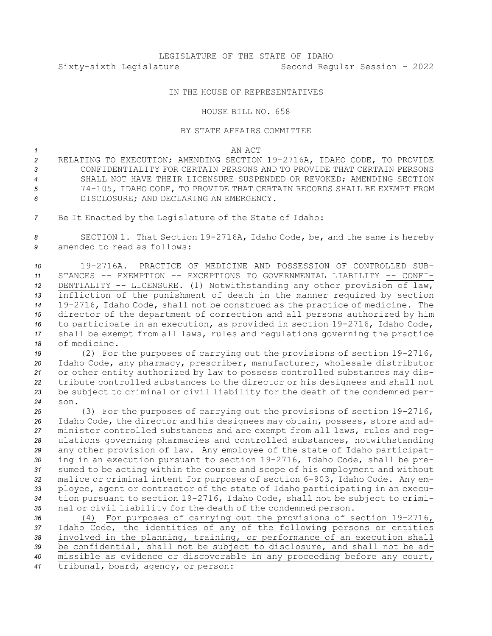## IN THE HOUSE OF REPRESENTATIVES

## HOUSE BILL NO. 658

## BY STATE AFFAIRS COMMITTEE

## *1* AN ACT

- *<sup>2</sup>* RELATING TO EXECUTION; AMENDING SECTION 19-2716A, IDAHO CODE, TO PROVIDE *3* CONFIDENTIALITY FOR CERTAIN PERSONS AND TO PROVIDE THAT CERTAIN PERSONS *4* SHALL NOT HAVE THEIR LICENSURE SUSPENDED OR REVOKED; AMENDING SECTION *<sup>5</sup>* 74-105, IDAHO CODE, TO PROVIDE THAT CERTAIN RECORDS SHALL BE EXEMPT FROM *6* DISCLOSURE; AND DECLARING AN EMERGENCY.
- *<sup>7</sup>* Be It Enacted by the Legislature of the State of Idaho:

*<sup>8</sup>* SECTION 1. That Section 19-2716A, Idaho Code, be, and the same is hereby *9* amended to read as follows:

 19-2716A. PRACTICE OF MEDICINE AND POSSESSION OF CONTROLLED SUB- STANCES -- EXEMPTION -- EXCEPTIONS TO GOVERNMENTAL LIABILITY -- CONFI- DENTIALITY -- LICENSURE. (1) Notwithstanding any other provision of law, infliction of the punishment of death in the manner required by section 19-2716, Idaho Code, shall not be construed as the practice of medicine. The director of the department of correction and all persons authorized by him to participate in an execution, as provided in section 19-2716, Idaho Code, shall be exempt from all laws, rules and regulations governing the practice of medicine.

 (2) For the purposes of carrying out the provisions of section 19-2716, Idaho Code, any pharmacy, prescriber, manufacturer, wholesale distributor or other entity authorized by law to possess controlled substances may dis- tribute controlled substances to the director or his designees and shall not be subject to criminal or civil liability for the death of the condemned per-*24* son.

 (3) For the purposes of carrying out the provisions of section 19-2716, Idaho Code, the director and his designees may obtain, possess, store and ad- minister controlled substances and are exempt from all laws, rules and reg- ulations governing pharmacies and controlled substances, notwithstanding any other provision of law. Any employee of the state of Idaho participat- ing in an execution pursuant to section 19-2716, Idaho Code, shall be pre- sumed to be acting within the course and scope of his employment and without malice or criminal intent for purposes of section 6-903, Idaho Code. Any em- ployee, agent or contractor of the state of Idaho participating in an execu- tion pursuant to section 19-2716, Idaho Code, shall not be subject to crimi-nal or civil liability for the death of the condemned person.

 (4) For purposes of carrying out the provisions of section 19-2716, Idaho Code, the identities of any of the following persons or entities involved in the planning, training, or performance of an execution shall be confidential, shall not be subject to disclosure, and shall not be ad- missible as evidence or discoverable in any proceeding before any court, tribunal, board, agency, or person: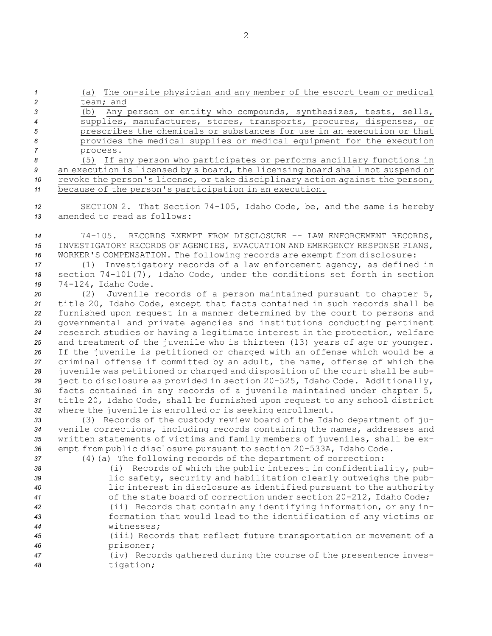*<sup>1</sup>* (a) The on-site physician and any member of the escort team or medical *2* team; and

 (b) Any person or entity who compounds, synthesizes, tests, sells, supplies, manufactures, stores, transports, procures, dispenses, or prescribes the chemicals or substances for use in an execution or that provides the medical supplies or medical equipment for the execution *7* process.

 (5) If any person who participates or performs ancillary functions in an execution is licensed by <sup>a</sup> board, the licensing board shall not suspend or revoke the person's license, or take disciplinary action against the person, because of the person's participation in an execution.

*<sup>12</sup>* SECTION 2. That Section 74-105, Idaho Code, be, and the same is hereby *13* amended to read as follows:

*<sup>14</sup>* 74-105. RECORDS EXEMPT FROM DISCLOSURE -- LAW ENFORCEMENT RECORDS, *15* INVESTIGATORY RECORDS OF AGENCIES, EVACUATION AND EMERGENCY RESPONSE PLANS, *<sup>16</sup>* WORKER'S COMPENSATION. The following records are exempt from disclosure:

*<sup>17</sup>* (1) Investigatory records of <sup>a</sup> law enforcement agency, as defined in *<sup>18</sup>* section 74-101(7), Idaho Code, under the conditions set forth in section *<sup>19</sup>* 74-124, Idaho Code.

 (2) Juvenile records of <sup>a</sup> person maintained pursuant to chapter 5, title 20, Idaho Code, except that facts contained in such records shall be furnished upon request in <sup>a</sup> manner determined by the court to persons and governmental and private agencies and institutions conducting pertinent research studies or having <sup>a</sup> legitimate interest in the protection, welfare and treatment of the juvenile who is thirteen (13) years of age or younger. If the juvenile is petitioned or charged with an offense which would be <sup>a</sup> criminal offense if committed by an adult, the name, offense of which the juvenile was petitioned or charged and disposition of the court shall be sub- ject to disclosure as provided in section 20-525, Idaho Code. Additionally, facts contained in any records of <sup>a</sup> juvenile maintained under chapter 5, title 20, Idaho Code, shall be furnished upon request to any school district where the juvenile is enrolled or is seeking enrollment.

 (3) Records of the custody review board of the Idaho department of ju- venile corrections, including records containing the names, addresses and written statements of victims and family members of juveniles, shall be ex-empt from public disclosure pursuant to section 20-533A, Idaho Code.

*<sup>37</sup>* (4)(a) The following records of the department of correction:

- *<sup>38</sup>* (i) Records of which the public interest in confidentiality, pub-*<sup>39</sup>* lic safety, security and habilitation clearly outweighs the pub-*<sup>40</sup>* lic interest in disclosure as identified pursuant to the authority *<sup>41</sup>* of the state board of correction under section 20-212, Idaho Code; *<sup>42</sup>* (ii) Records that contain any identifying information, or any in-*<sup>43</sup>* formation that would lead to the identification of any victims or *44* witnesses; *<sup>45</sup>* (iii) Records that reflect future transportation or movement of <sup>a</sup> *<sup>46</sup>* prisoner;
- *<sup>47</sup>* (iv) Records gathered during the course of the presentence inves-*<sup>48</sup>* tigation;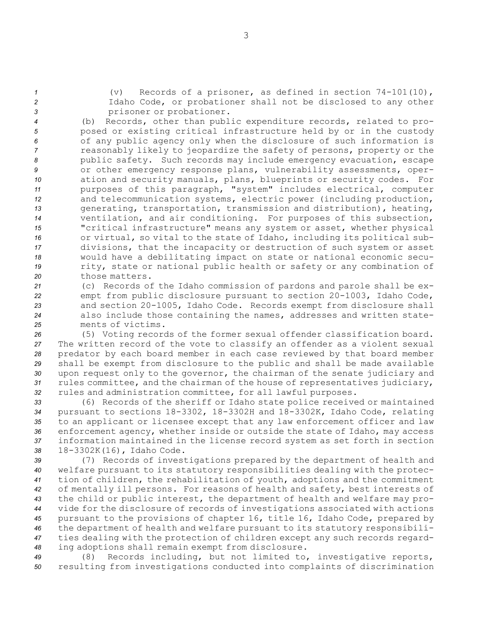*<sup>1</sup>* (v) Records of <sup>a</sup> prisoner, as defined in section 74-101(10), *<sup>2</sup>* Idaho Code, or probationer shall not be disclosed to any other *<sup>3</sup>* prisoner or probationer.

 (b) Records, other than public expenditure records, related to pro- posed or existing critical infrastructure held by or in the custody of any public agency only when the disclosure of such information is reasonably likely to jeopardize the safety of persons, property or the public safety. Such records may include emergency evacuation, escape or other emergency response plans, vulnerability assessments, oper- ation and security manuals, plans, blueprints or security codes. For purposes of this paragraph, "system" includes electrical, computer and telecommunication systems, electric power (including production, generating, transportation, transmission and distribution), heating, ventilation, and air conditioning. For purposes of this subsection, "critical infrastructure" means any system or asset, whether physical or virtual, so vital to the state of Idaho, including its political sub- divisions, that the incapacity or destruction of such system or asset would have <sup>a</sup> debilitating impact on state or national economic secu- rity, state or national public health or safety or any combination of those matters.

 (c) Records of the Idaho commission of pardons and parole shall be ex- empt from public disclosure pursuant to section 20-1003, Idaho Code, and section 20-1005, Idaho Code. Records exempt from disclosure shall also include those containing the names, addresses and written state-ments of victims.

 (5) Voting records of the former sexual offender classification board. The written record of the vote to classify an offender as <sup>a</sup> violent sexual predator by each board member in each case reviewed by that board member shall be exempt from disclosure to the public and shall be made available upon request only to the governor, the chairman of the senate judiciary and rules committee, and the chairman of the house of representatives judiciary, rules and administration committee, for all lawful purposes.

 (6) Records of the sheriff or Idaho state police received or maintained pursuant to sections 18-3302, 18-3302H and 18-3302K, Idaho Code, relating to an applicant or licensee except that any law enforcement officer and law enforcement agency, whether inside or outside the state of Idaho, may access information maintained in the license record system as set forth in section 18-3302K(16), Idaho Code.

 (7) Records of investigations prepared by the department of health and welfare pursuant to its statutory responsibilities dealing with the protec- tion of children, the rehabilitation of youth, adoptions and the commitment of mentally ill persons. For reasons of health and safety, best interests of the child or public interest, the department of health and welfare may pro- vide for the disclosure of records of investigations associated with actions pursuant to the provisions of chapter 16, title 16, Idaho Code, prepared by the department of health and welfare pursuant to its statutory responsibili- ties dealing with the protection of children except any such records regard-ing adoptions shall remain exempt from disclosure.

*<sup>49</sup>* (8) Records including, but not limited to, investigative reports, *<sup>50</sup>* resulting from investigations conducted into complaints of discrimination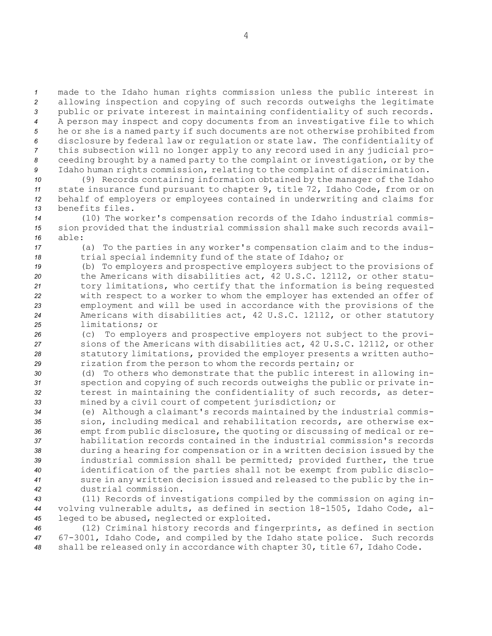made to the Idaho human rights commission unless the public interest in allowing inspection and copying of such records outweighs the legitimate public or private interest in maintaining confidentiality of such records. <sup>A</sup> person may inspect and copy documents from an investigative file to which he or she is <sup>a</sup> named party if such documents are not otherwise prohibited from disclosure by federal law or regulation or state law. The confidentiality of this subsection will no longer apply to any record used in any judicial pro- ceeding brought by <sup>a</sup> named party to the complaint or investigation, or by the Idaho human rights commission, relating to the complaint of discrimination.

 (9) Records containing information obtained by the manager of the Idaho state insurance fund pursuant to chapter 9, title 72, Idaho Code, from or on behalf of employers or employees contained in underwriting and claims for benefits files.

*<sup>14</sup>* (10) The worker's compensation records of the Idaho industrial commis-*<sup>15</sup>* sion provided that the industrial commission shall make such records avail-*16* able:

*<sup>17</sup>* (a) To the parties in any worker's compensation claim and to the indus-*<sup>18</sup>* trial special indemnity fund of the state of Idaho; or

 (b) To employers and prospective employers subject to the provisions of the Americans with disabilities act, 42 U.S.C. 12112, or other statu- tory limitations, who certify that the information is being requested with respect to <sup>a</sup> worker to whom the employer has extended an offer of employment and will be used in accordance with the provisions of the Americans with disabilities act, 42 U.S.C. 12112, or other statutory limitations; or

 (c) To employers and prospective employers not subject to the provi- sions of the Americans with disabilities act, 42 U.S.C. 12112, or other statutory limitations, provided the employer presents <sup>a</sup> written autho-rization from the person to whom the records pertain; or

 (d) To others who demonstrate that the public interest in allowing in- spection and copying of such records outweighs the public or private in- terest in maintaining the confidentiality of such records, as deter-mined by <sup>a</sup> civil court of competent jurisdiction; or

 (e) Although <sup>a</sup> claimant's records maintained by the industrial commis- sion, including medical and rehabilitation records, are otherwise ex- empt from public disclosure, the quoting or discussing of medical or re- habilitation records contained in the industrial commission's records during <sup>a</sup> hearing for compensation or in <sup>a</sup> written decision issued by the industrial commission shall be permitted; provided further, the true identification of the parties shall not be exempt from public disclo- sure in any written decision issued and released to the public by the in-dustrial commission.

*<sup>43</sup>* (11) Records of investigations compiled by the commission on aging in-*<sup>44</sup>* volving vulnerable adults, as defined in section 18-1505, Idaho Code, al-*<sup>45</sup>* leged to be abused, neglected or exploited.

*<sup>46</sup>* (12) Criminal history records and fingerprints, as defined in section *<sup>47</sup>* 67-3001, Idaho Code, and compiled by the Idaho state police. Such records *<sup>48</sup>* shall be released only in accordance with chapter 30, title 67, Idaho Code.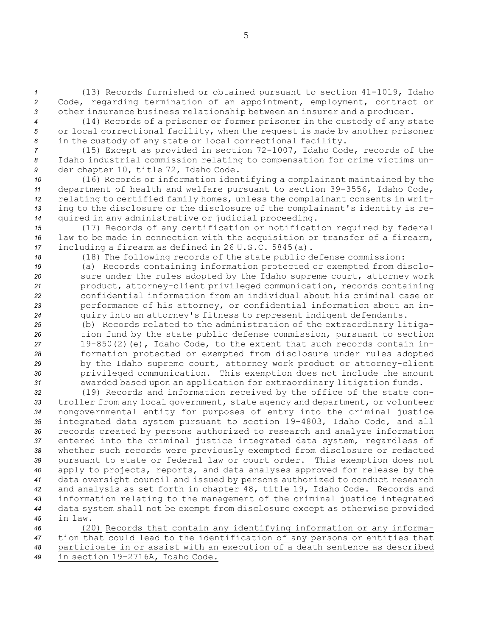*<sup>1</sup>* (13) Records furnished or obtained pursuant to section 41-1019, Idaho *<sup>2</sup>* Code, regarding termination of an appointment, employment, contract or *<sup>3</sup>* other insurance business relationship between an insurer and <sup>a</sup> producer.

*<sup>4</sup>* (14) Records of <sup>a</sup> prisoner or former prisoner in the custody of any state *<sup>5</sup>* or local correctional facility, when the request is made by another prisoner *<sup>6</sup>* in the custody of any state or local correctional facility.

*<sup>7</sup>* (15) Except as provided in section 72-1007, Idaho Code, records of the *<sup>8</sup>* Idaho industrial commission relating to compensation for crime victims un-*<sup>9</sup>* der chapter 10, title 72, Idaho Code.

 (16) Records or information identifying <sup>a</sup> complainant maintained by the department of health and welfare pursuant to section 39-3556, Idaho Code, relating to certified family homes, unless the complainant consents in writ- ing to the disclosure or the disclosure of the complainant's identity is re-quired in any administrative or judicial proceeding.

*<sup>15</sup>* (17) Records of any certification or notification required by federal *<sup>16</sup>* law to be made in connection with the acquisition or transfer of <sup>a</sup> firearm, *<sup>17</sup>* including <sup>a</sup> firearm as defined in 26 U.S.C. 5845(a).

*<sup>18</sup>* (18) The following records of the state public defense commission:

 (a) Records containing information protected or exempted from disclo- sure under the rules adopted by the Idaho supreme court, attorney work product, attorney-client privileged communication, records containing confidential information from an individual about his criminal case or performance of his attorney, or confidential information about an in-quiry into an attorney's fitness to represent indigent defendants.

 (b) Records related to the administration of the extraordinary litiga- tion fund by the state public defense commission, pursuant to section 19-850(2)(e), Idaho Code, to the extent that such records contain in- formation protected or exempted from disclosure under rules adopted by the Idaho supreme court, attorney work product or attorney-client privileged communication. This exemption does not include the amount awarded based upon an application for extraordinary litigation funds.

 (19) Records and information received by the office of the state con- troller from any local government, state agency and department, or volunteer nongovernmental entity for purposes of entry into the criminal justice integrated data system pursuant to section 19-4803, Idaho Code, and all records created by persons authorized to research and analyze information entered into the criminal justice integrated data system, regardless of whether such records were previously exempted from disclosure or redacted pursuant to state or federal law or court order. This exemption does not apply to projects, reports, and data analyses approved for release by the data oversight council and issued by persons authorized to conduct research and analysis as set forth in chapter 48, title 19, Idaho Code. Records and information relating to the management of the criminal justice integrated data system shall not be exempt from disclosure except as otherwise provided *45* in law.

 (20) Records that contain any identifying information or any informa- tion that could lead to the identification of any persons or entities that participate in or assist with an execution of <sup>a</sup> death sentence as described in section 19-2716A, Idaho Code.